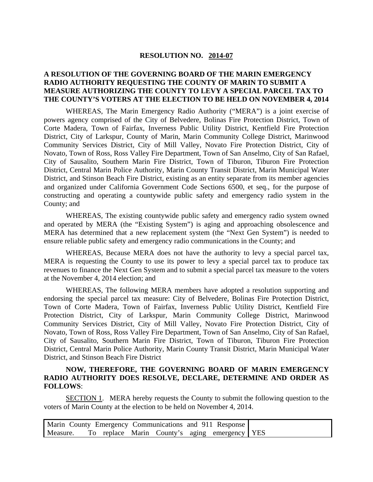#### **RESOLUTION NO. 2014-07**

### **A RESOLUTION OF THE GOVERNING BOARD OF THE MARIN EMERGENCY RADIO AUTHORITY REQUESTING THE COUNTY OF MARIN TO SUBMIT A MEASURE AUTHORIZING THE COUNTY TO LEVY A SPECIAL PARCEL TAX TO THE COUNTY'S VOTERS AT THE ELECTION TO BE HELD ON NOVEMBER 4, 2014**

WHEREAS, The Marin Emergency Radio Authority ("MERA") is a joint exercise of powers agency comprised of the City of Belvedere, Bolinas Fire Protection District, Town of Corte Madera, Town of Fairfax, Inverness Public Utility District, Kentfield Fire Protection District, City of Larkspur, County of Marin, Marin Community College District, Marinwood Community Services District, City of Mill Valley, Novato Fire Protection District, City of Novato, Town of Ross, Ross Valley Fire Department, Town of San Anselmo, City of San Rafael, City of Sausalito, Southern Marin Fire District, Town of Tiburon, Tiburon Fire Protection District, Central Marin Police Authority, Marin County Transit District, Marin Municipal Water District, and Stinson Beach Fire District, existing as an entity separate from its member agencies and organized under California Government Code Sections 6500, et seq., for the purpose of constructing and operating a countywide public safety and emergency radio system in the County; and

WHEREAS, The existing countywide public safety and emergency radio system owned and operated by MERA (the "Existing System") is aging and approaching obsolescence and MERA has determined that a new replacement system (the "Next Gen System") is needed to ensure reliable public safety and emergency radio communications in the County; and

WHEREAS, Because MERA does not have the authority to levy a special parcel tax, MERA is requesting the County to use its power to levy a special parcel tax to produce tax revenues to finance the Next Gen System and to submit a special parcel tax measure to the voters at the November 4, 2014 election; and

WHEREAS, The following MERA members have adopted a resolution supporting and endorsing the special parcel tax measure: City of Belvedere, Bolinas Fire Protection District, Town of Corte Madera, Town of Fairfax, Inverness Public Utility District, Kentfield Fire Protection District, City of Larkspur, Marin Community College District, Marinwood Community Services District, City of Mill Valley, Novato Fire Protection District, City of Novato, Town of Ross, Ross Valley Fire Department, Town of San Anselmo, City of San Rafael, City of Sausalito, Southern Marin Fire District, Town of Tiburon, Tiburon Fire Protection District, Central Marin Police Authority, Marin County Transit District, Marin Municipal Water District, and Stinson Beach Fire District

### **NOW, THEREFORE, THE GOVERNING BOARD OF MARIN EMERGENCY RADIO AUTHORITY DOES RESOLVE, DECLARE, DETERMINE AND ORDER AS FOLLOWS**:

SECTION 1. MERA hereby requests the County to submit the following question to the voters of Marin County at the election to be held on November 4, 2014.

| Marin County Emergency Communications and 911 Response |  |  |  |  |
|--------------------------------------------------------|--|--|--|--|
| Measure. To replace Marin County's aging emergency YES |  |  |  |  |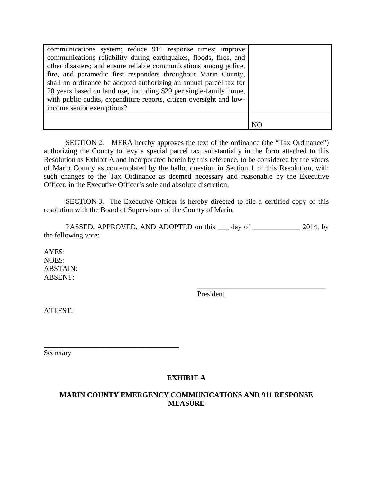| communications system; reduce 911 response times; improve<br>communications reliability during earthquakes, floods, fires, and<br>other disasters; and ensure reliable communications among police,<br>fire, and paramedic first responders throughout Marin County,<br>shall an ordinance be adopted authorizing an annual parcel tax for<br>20 years based on land use, including \$29 per single-family home,<br>with public audits, expenditure reports, citizen oversight and low-<br>income senior exemptions? |  |
|----------------------------------------------------------------------------------------------------------------------------------------------------------------------------------------------------------------------------------------------------------------------------------------------------------------------------------------------------------------------------------------------------------------------------------------------------------------------------------------------------------------------|--|
|                                                                                                                                                                                                                                                                                                                                                                                                                                                                                                                      |  |
|                                                                                                                                                                                                                                                                                                                                                                                                                                                                                                                      |  |

SECTION 2. MERA hereby approves the text of the ordinance (the "Tax Ordinance") authorizing the County to levy a special parcel tax, substantially in the form attached to this Resolution as Exhibit A and incorporated herein by this reference, to be considered by the voters of Marin County as contemplated by the ballot question in Section 1 of this Resolution, with such changes to the Tax Ordinance as deemed necessary and reasonable by the Executive Officer, in the Executive Officer's sole and absolute discretion.

SECTION 3. The Executive Officer is hereby directed to file a certified copy of this resolution with the Board of Supervisors of the County of Marin.

PASSED, APPROVED, AND ADOPTED on this <u>equal</u> day of <u>equal contracts</u> 2014, by the following vote:

 $\overline{\phantom{a}}$  , which is a set of the set of the set of the set of the set of the set of the set of the set of the set of the set of the set of the set of the set of the set of the set of the set of the set of the set of th

AYES: NOES: ABSTAIN: ABSENT:

President

ATTEST:

Secretary

\_\_\_\_\_\_\_\_\_\_\_\_\_\_\_\_\_\_\_\_\_\_\_\_\_\_\_\_\_\_\_\_\_\_\_\_\_

## **EXHIBIT A**

# **MARIN COUNTY EMERGENCY COMMUNICATIONS AND 911 RESPONSE MEASURE**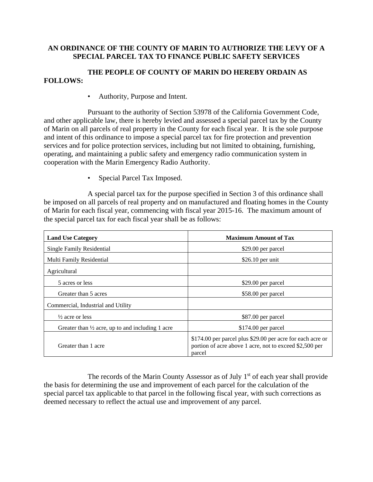### **AN ORDINANCE OF THE COUNTY OF MARIN TO AUTHORIZE THE LEVY OF A SPECIAL PARCEL TAX TO FINANCE PUBLIC SAFETY SERVICES**

## **THE PEOPLE OF COUNTY OF MARIN DO HEREBY ORDAIN AS FOLLOWS:**

• Authority, Purpose and Intent.

Pursuant to the authority of Section 53978 of the California Government Code, and other applicable law, there is hereby levied and assessed a special parcel tax by the County of Marin on all parcels of real property in the County for each fiscal year. It is the sole purpose and intent of this ordinance to impose a special parcel tax for fire protection and prevention services and for police protection services, including but not limited to obtaining, furnishing, operating, and maintaining a public safety and emergency radio communication system in cooperation with the Marin Emergency Radio Authority.

• Special Parcel Tax Imposed.

A special parcel tax for the purpose specified in Section 3 of this ordinance shall be imposed on all parcels of real property and on manufactured and floating homes in the County of Marin for each fiscal year, commencing with fiscal year 2015-16. The maximum amount of the special parcel tax for each fiscal year shall be as follows:

| <b>Land Use Category</b>                                    | <b>Maximum Amount of Tax</b>                                                                                                    |  |  |
|-------------------------------------------------------------|---------------------------------------------------------------------------------------------------------------------------------|--|--|
| Single Family Residential                                   | \$29.00 per parcel                                                                                                              |  |  |
| Multi Family Residential                                    | $$26.10$ per unit                                                                                                               |  |  |
| Agricultural                                                |                                                                                                                                 |  |  |
| 5 acres or less                                             | \$29.00 per parcel                                                                                                              |  |  |
| Greater than 5 acres                                        | \$58.00 per parcel                                                                                                              |  |  |
| Commercial, Industrial and Utility                          |                                                                                                                                 |  |  |
| $\frac{1}{2}$ acre or less                                  | \$87.00 per parcel                                                                                                              |  |  |
| Greater than $\frac{1}{2}$ acre, up to and including 1 acre | \$174.00 per parcel                                                                                                             |  |  |
| Greater than 1 acre                                         | \$174.00 per parcel plus \$29.00 per acre for each acre or<br>portion of acre above 1 acre, not to exceed \$2,500 per<br>parcel |  |  |

The records of the Marin County Assessor as of July  $1<sup>st</sup>$  of each year shall provide the basis for determining the use and improvement of each parcel for the calculation of the special parcel tax applicable to that parcel in the following fiscal year, with such corrections as deemed necessary to reflect the actual use and improvement of any parcel.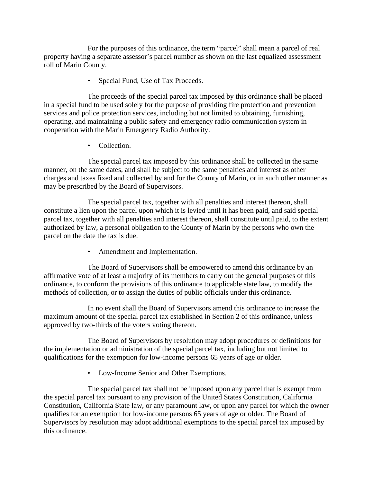For the purposes of this ordinance, the term "parcel" shall mean a parcel of real property having a separate assessor's parcel number as shown on the last equalized assessment roll of Marin County.

• Special Fund, Use of Tax Proceeds.

The proceeds of the special parcel tax imposed by this ordinance shall be placed in a special fund to be used solely for the purpose of providing fire protection and prevention services and police protection services, including but not limited to obtaining, furnishing, operating, and maintaining a public safety and emergency radio communication system in cooperation with the Marin Emergency Radio Authority.

• Collection.

The special parcel tax imposed by this ordinance shall be collected in the same manner, on the same dates, and shall be subject to the same penalties and interest as other charges and taxes fixed and collected by and for the County of Marin, or in such other manner as may be prescribed by the Board of Supervisors.

The special parcel tax, together with all penalties and interest thereon, shall constitute a lien upon the parcel upon which it is levied until it has been paid, and said special parcel tax, together with all penalties and interest thereon, shall constitute until paid, to the extent authorized by law, a personal obligation to the County of Marin by the persons who own the parcel on the date the tax is due.

• Amendment and Implementation.

The Board of Supervisors shall be empowered to amend this ordinance by an affirmative vote of at least a majority of its members to carry out the general purposes of this ordinance, to conform the provisions of this ordinance to applicable state law, to modify the methods of collection, or to assign the duties of public officials under this ordinance.

In no event shall the Board of Supervisors amend this ordinance to increase the maximum amount of the special parcel tax established in Section 2 of this ordinance, unless approved by two-thirds of the voters voting thereon.

The Board of Supervisors by resolution may adopt procedures or definitions for the implementation or administration of the special parcel tax, including but not limited to qualifications for the exemption for low-income persons 65 years of age or older.

• Low-Income Senior and Other Exemptions.

The special parcel tax shall not be imposed upon any parcel that is exempt from the special parcel tax pursuant to any provision of the United States Constitution, California Constitution, California State law, or any paramount law, or upon any parcel for which the owner qualifies for an exemption for low-income persons 65 years of age or older. The Board of Supervisors by resolution may adopt additional exemptions to the special parcel tax imposed by this ordinance.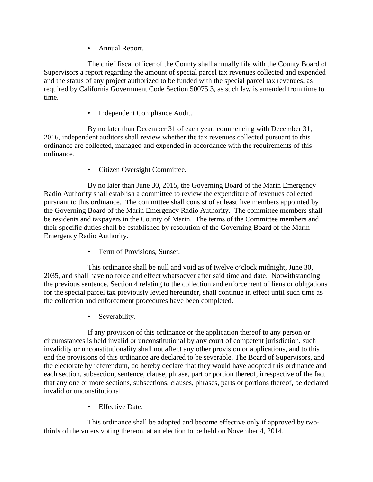• Annual Report.

The chief fiscal officer of the County shall annually file with the County Board of Supervisors a report regarding the amount of special parcel tax revenues collected and expended and the status of any project authorized to be funded with the special parcel tax revenues, as required by California Government Code Section 50075.3, as such law is amended from time to time.

• Independent Compliance Audit.

By no later than December 31 of each year, commencing with December 31, 2016, independent auditors shall review whether the tax revenues collected pursuant to this ordinance are collected, managed and expended in accordance with the requirements of this ordinance.

• Citizen Oversight Committee.

By no later than June 30, 2015, the Governing Board of the Marin Emergency Radio Authority shall establish a committee to review the expenditure of revenues collected pursuant to this ordinance. The committee shall consist of at least five members appointed by the Governing Board of the Marin Emergency Radio Authority. The committee members shall be residents and taxpayers in the County of Marin. The terms of the Committee members and their specific duties shall be established by resolution of the Governing Board of the Marin Emergency Radio Authority.

• Term of Provisions, Sunset.

This ordinance shall be null and void as of twelve o'clock midnight, June 30, 2035, and shall have no force and effect whatsoever after said time and date. Notwithstanding the previous sentence, Section 4 relating to the collection and enforcement of liens or obligations for the special parcel tax previously levied hereunder, shall continue in effect until such time as the collection and enforcement procedures have been completed.

• Severability.

If any provision of this ordinance or the application thereof to any person or circumstances is held invalid or unconstitutional by any court of competent jurisdiction, such invalidity or unconstitutionality shall not affect any other provision or applications, and to this end the provisions of this ordinance are declared to be severable. The Board of Supervisors, and the electorate by referendum, do hereby declare that they would have adopted this ordinance and each section, subsection, sentence, clause, phrase, part or portion thereof, irrespective of the fact that any one or more sections, subsections, clauses, phrases, parts or portions thereof, be declared invalid or unconstitutional.

**Effective Date.** 

This ordinance shall be adopted and become effective only if approved by twothirds of the voters voting thereon, at an election to be held on November 4, 2014.